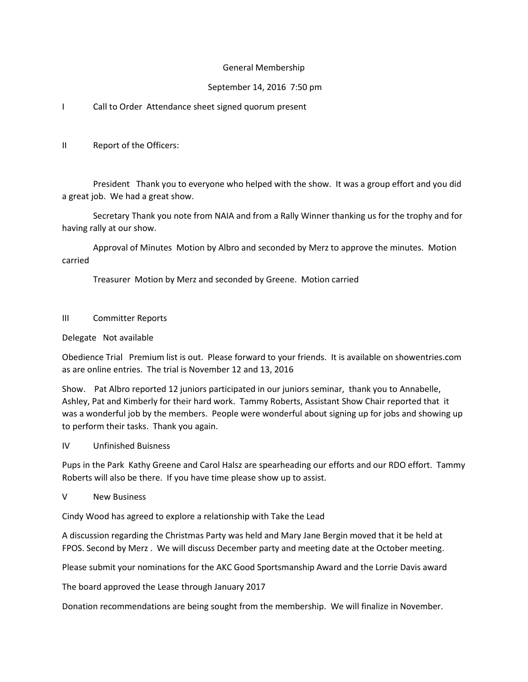## General Membership

## September 14, 2016 7:50 pm

# I Call to Order Attendance sheet signed quorum present

II Report of the Officers:

President Thank you to everyone who helped with the show. It was a group effort and you did a great job. We had a great show.

Secretary Thank you note from NAIA and from a Rally Winner thanking us for the trophy and for having rally at our show.

Approval of Minutes Motion by Albro and seconded by Merz to approve the minutes. Motion carried

Treasurer Motion by Merz and seconded by Greene. Motion carried

#### III Committer Reports

## Delegate Not available

Obedience Trial Premium list is out. Please forward to your friends. It is available on showentries.com as are online entries. The trial is November 12 and 13, 2016

Show. Pat Albro reported 12 juniors participated in our juniors seminar, thank you to Annabelle, Ashley, Pat and Kimberly for their hard work. Tammy Roberts, Assistant Show Chair reported that it was a wonderful job by the members. People were wonderful about signing up for jobs and showing up to perform their tasks. Thank you again.

IV Unfinished Buisness

Pups in the Park Kathy Greene and Carol Halsz are spearheading our efforts and our RDO effort. Tammy Roberts will also be there. If you have time please show up to assist.

#### V New Business

Cindy Wood has agreed to explore a relationship with Take the Lead

A discussion regarding the Christmas Party was held and Mary Jane Bergin moved that it be held at FPOS. Second by Merz . We will discuss December party and meeting date at the October meeting.

Please submit your nominations for the AKC Good Sportsmanship Award and the Lorrie Davis award

The board approved the Lease through January 2017

Donation recommendations are being sought from the membership. We will finalize in November.